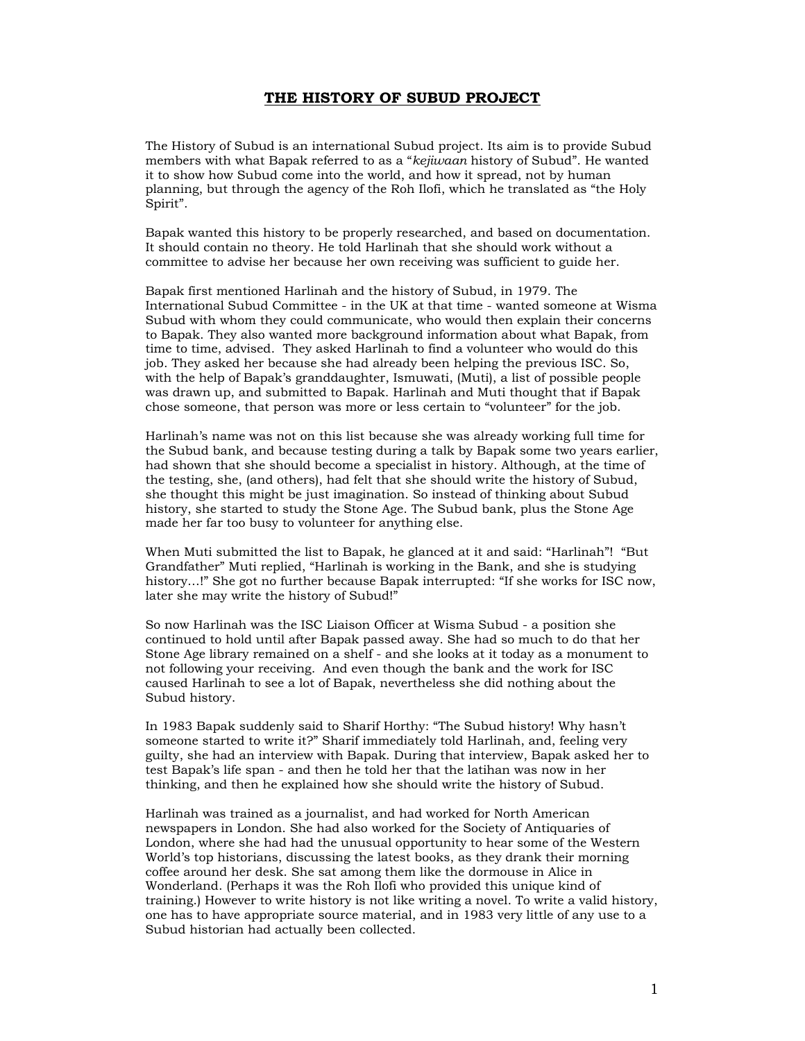## **THE HISTORY OF SUBUD PROJECT**

The History of Subud is an international Subud project. Its aim is to provide Subud members with what Bapak referred to as a "*kejiwaan* history of Subud". He wanted it to show how Subud come into the world, and how it spread, not by human planning, but through the agency of the Roh Ilofi, which he translated as "the Holy Spirit".

Bapak wanted this history to be properly researched, and based on documentation. It should contain no theory. He told Harlinah that she should work without a committee to advise her because her own receiving was sufficient to guide her.

Bapak first mentioned Harlinah and the history of Subud, in 1979. The International Subud Committee - in the UK at that time - wanted someone at Wisma Subud with whom they could communicate, who would then explain their concerns to Bapak. They also wanted more background information about what Bapak, from time to time, advised. They asked Harlinah to find a volunteer who would do this job. They asked her because she had already been helping the previous ISC. So, with the help of Bapak's granddaughter, Ismuwati, (Muti), a list of possible people was drawn up, and submitted to Bapak. Harlinah and Muti thought that if Bapak chose someone, that person was more or less certain to "volunteer" for the job.

Harlinah's name was not on this list because she was already working full time for the Subud bank, and because testing during a talk by Bapak some two years earlier, had shown that she should become a specialist in history. Although, at the time of the testing, she, (and others), had felt that she should write the history of Subud, she thought this might be just imagination. So instead of thinking about Subud history, she started to study the Stone Age. The Subud bank, plus the Stone Age made her far too busy to volunteer for anything else.

When Muti submitted the list to Bapak, he glanced at it and said: "Harlinah"! "But Grandfather" Muti replied, "Harlinah is working in the Bank, and she is studying history…!" She got no further because Bapak interrupted: "If she works for ISC now, later she may write the history of Subud!"

So now Harlinah was the ISC Liaison Officer at Wisma Subud - a position she continued to hold until after Bapak passed away. She had so much to do that her Stone Age library remained on a shelf - and she looks at it today as a monument to not following your receiving. And even though the bank and the work for ISC caused Harlinah to see a lot of Bapak, nevertheless she did nothing about the Subud history.

In 1983 Bapak suddenly said to Sharif Horthy: "The Subud history! Why hasn't someone started to write it?" Sharif immediately told Harlinah, and, feeling very guilty, she had an interview with Bapak. During that interview, Bapak asked her to test Bapak's life span - and then he told her that the latihan was now in her thinking, and then he explained how she should write the history of Subud.

Harlinah was trained as a journalist, and had worked for North American newspapers in London. She had also worked for the Society of Antiquaries of London, where she had had the unusual opportunity to hear some of the Western World's top historians, discussing the latest books, as they drank their morning coffee around her desk. She sat among them like the dormouse in Alice in Wonderland. (Perhaps it was the Roh Ilofi who provided this unique kind of training.) However to write history is not like writing a novel. To write a valid history, one has to have appropriate source material, and in 1983 very little of any use to a Subud historian had actually been collected.